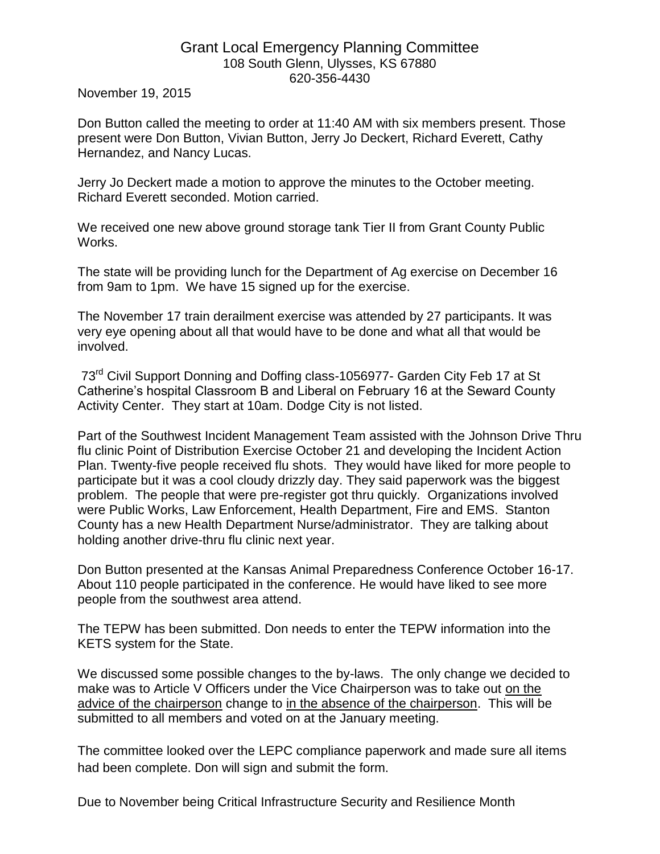## Grant Local Emergency Planning Committee 108 South Glenn, Ulysses, KS 67880 620-356-4430

November 19, 2015

Don Button called the meeting to order at 11:40 AM with six members present. Those present were Don Button, Vivian Button, Jerry Jo Deckert, Richard Everett, Cathy Hernandez, and Nancy Lucas.

Jerry Jo Deckert made a motion to approve the minutes to the October meeting. Richard Everett seconded. Motion carried.

We received one new above ground storage tank Tier II from Grant County Public Works.

The state will be providing lunch for the Department of Ag exercise on December 16 from 9am to 1pm. We have 15 signed up for the exercise.

The November 17 train derailment exercise was attended by 27 participants. It was very eye opening about all that would have to be done and what all that would be involved.

73rd Civil Support Donning and Doffing class-1056977- Garden City Feb 17 at St Catherine's hospital Classroom B and Liberal on February 16 at the Seward County Activity Center. They start at 10am. Dodge City is not listed.

Part of the Southwest Incident Management Team assisted with the Johnson Drive Thru flu clinic Point of Distribution Exercise October 21 and developing the Incident Action Plan. Twenty-five people received flu shots. They would have liked for more people to participate but it was a cool cloudy drizzly day. They said paperwork was the biggest problem. The people that were pre-register got thru quickly. Organizations involved were Public Works, Law Enforcement, Health Department, Fire and EMS. Stanton County has a new Health Department Nurse/administrator. They are talking about holding another drive-thru flu clinic next year.

Don Button presented at the Kansas Animal Preparedness Conference October 16-17. About 110 people participated in the conference. He would have liked to see more people from the southwest area attend.

The TEPW has been submitted. Don needs to enter the TEPW information into the KETS system for the State.

We discussed some possible changes to the by-laws. The only change we decided to make was to Article V Officers under the Vice Chairperson was to take out on the advice of the chairperson change to in the absence of the chairperson. This will be submitted to all members and voted on at the January meeting.

The committee looked over the LEPC compliance paperwork and made sure all items had been complete. Don will sign and submit the form.

Due to November being Critical Infrastructure Security and Resilience Month